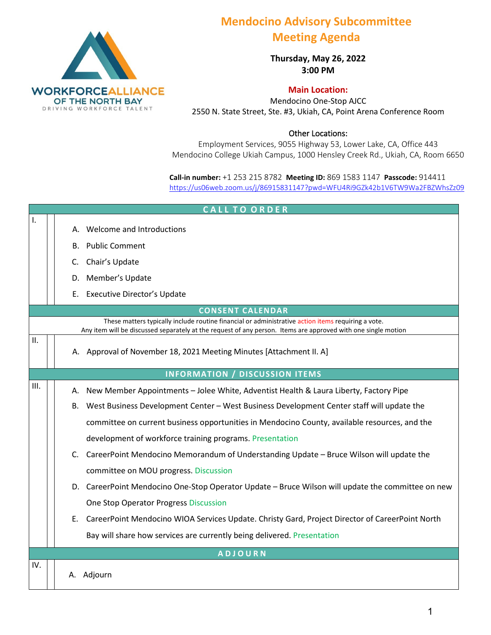

## **Mendocino Advisory Subcommittee Meeting Agenda**

**Thursday, May 26, 2022 3:00 PM** 

**Main Location:** 

Mendocino One-Stop AJCC 2550 N. State Street, Ste. #3, Ukiah, CA, Point Arena Conference Room

Other Locations:

Employment Services, 9055 Highway 53, Lower Lake, CA, Office 443 Mendocino College Ukiah Campus, 1000 Hensley Creek Rd., Ukiah, CA, Room 6650

**Call-in number:** +1 253 215 8782 **Meeting ID:** 869 1583 1147 **Passcode:** 914411 <https://us06web.zoom.us/j/86915831147?pwd=WFU4Ri9GZk42b1V6TW9Wa2FBZWhsZz09>

| <b>CALL TO ORDER</b>                                                                                                                                                                                                |    |                                                                                                    |  |  |
|---------------------------------------------------------------------------------------------------------------------------------------------------------------------------------------------------------------------|----|----------------------------------------------------------------------------------------------------|--|--|
| Ι.                                                                                                                                                                                                                  |    | A. Welcome and Introductions                                                                       |  |  |
|                                                                                                                                                                                                                     |    | <b>B.</b> Public Comment                                                                           |  |  |
|                                                                                                                                                                                                                     | C. | Chair's Update                                                                                     |  |  |
|                                                                                                                                                                                                                     | D. | Member's Update                                                                                    |  |  |
|                                                                                                                                                                                                                     |    |                                                                                                    |  |  |
|                                                                                                                                                                                                                     |    | E. Executive Director's Update                                                                     |  |  |
|                                                                                                                                                                                                                     |    | <b>CONSENT CALENDAR</b>                                                                            |  |  |
| These matters typically include routine financial or administrative action items requiring a vote.<br>Any item will be discussed separately at the request of any person. Items are approved with one single motion |    |                                                                                                    |  |  |
| ΙΙ.                                                                                                                                                                                                                 |    | A. Approval of November 18, 2021 Meeting Minutes [Attachment II. A]                                |  |  |
| <b>INFORMATION / DISCUSSION ITEMS</b>                                                                                                                                                                               |    |                                                                                                    |  |  |
| III.                                                                                                                                                                                                                | А. | New Member Appointments - Jolee White, Adventist Health & Laura Liberty, Factory Pipe              |  |  |
|                                                                                                                                                                                                                     |    | B. West Business Development Center - West Business Development Center staff will update the       |  |  |
|                                                                                                                                                                                                                     |    | committee on current business opportunities in Mendocino County, available resources, and the      |  |  |
|                                                                                                                                                                                                                     |    | development of workforce training programs. Presentation                                           |  |  |
|                                                                                                                                                                                                                     |    | C. CareerPoint Mendocino Memorandum of Understanding Update - Bruce Wilson will update the         |  |  |
|                                                                                                                                                                                                                     |    | committee on MOU progress. Discussion                                                              |  |  |
|                                                                                                                                                                                                                     |    | D. CareerPoint Mendocino One-Stop Operator Update - Bruce Wilson will update the committee on new  |  |  |
|                                                                                                                                                                                                                     |    | One Stop Operator Progress Discussion                                                              |  |  |
|                                                                                                                                                                                                                     |    | E. CareerPoint Mendocino WIOA Services Update. Christy Gard, Project Director of CareerPoint North |  |  |
|                                                                                                                                                                                                                     |    | Bay will share how services are currently being delivered. Presentation                            |  |  |
| <b>ADJOURN</b>                                                                                                                                                                                                      |    |                                                                                                    |  |  |
| IV.                                                                                                                                                                                                                 |    |                                                                                                    |  |  |
|                                                                                                                                                                                                                     |    | A. Adjourn                                                                                         |  |  |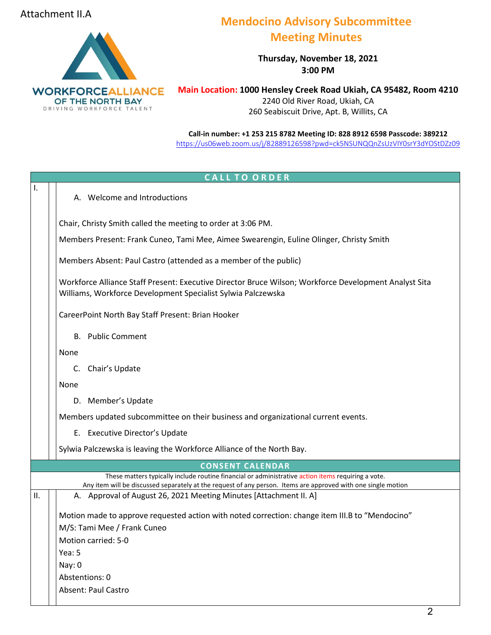## Attachment II.A



## **Mendocino Advisory Subcommittee Meeting Minutes**

**Thursday, November 18, 2021 3:00 PM** 

**Main Location: 1000 Hensley Creek Road Ukiah, CA 95482, Room 4210** 2240 Old River Road, Ukiah, CA 260 Seabiscuit Drive, Apt. B, Willits, CA

**Call-in number: +1 253 215 8782 Meeting ID: 828 8912 6598 Passcode: 38921[2](https://zoom.us/j/96220583443?pwd=UDZBcmg1dk5NeXVSMXpjeDFwVlpTdz09)** <https://us06web.zoom.us/j/82889126598?pwd=ck5NSUNQQnZsUzVIY0srY3dYOStDZz09>

| <b>CALL TO ORDER</b>                                                              |                                                                                                                                                                                                                     |  |  |  |
|-----------------------------------------------------------------------------------|---------------------------------------------------------------------------------------------------------------------------------------------------------------------------------------------------------------------|--|--|--|
| ı.                                                                                | A. Welcome and Introductions                                                                                                                                                                                        |  |  |  |
|                                                                                   | Chair, Christy Smith called the meeting to order at 3:06 PM.                                                                                                                                                        |  |  |  |
|                                                                                   | Members Present: Frank Cuneo, Tami Mee, Aimee Swearengin, Euline Olinger, Christy Smith                                                                                                                             |  |  |  |
|                                                                                   | Members Absent: Paul Castro (attended as a member of the public)                                                                                                                                                    |  |  |  |
|                                                                                   | Workforce Alliance Staff Present: Executive Director Bruce Wilson; Workforce Development Analyst Sita<br>Williams, Workforce Development Specialist Sylwia Palczewska                                               |  |  |  |
|                                                                                   | CareerPoint North Bay Staff Present: Brian Hooker                                                                                                                                                                   |  |  |  |
|                                                                                   | <b>B.</b> Public Comment                                                                                                                                                                                            |  |  |  |
|                                                                                   | None                                                                                                                                                                                                                |  |  |  |
|                                                                                   | Chair's Update<br>C.                                                                                                                                                                                                |  |  |  |
|                                                                                   | None                                                                                                                                                                                                                |  |  |  |
|                                                                                   | D. Member's Update                                                                                                                                                                                                  |  |  |  |
| Members updated subcommittee on their business and organizational current events. |                                                                                                                                                                                                                     |  |  |  |
|                                                                                   | E. Executive Director's Update                                                                                                                                                                                      |  |  |  |
|                                                                                   | Sylwia Palczewska is leaving the Workforce Alliance of the North Bay.                                                                                                                                               |  |  |  |
|                                                                                   | <b>CONSENT CALENDAR</b>                                                                                                                                                                                             |  |  |  |
|                                                                                   | These matters typically include routine financial or administrative action items requiring a vote.<br>Any item will be discussed separately at the request of any person. Items are approved with one single motion |  |  |  |
| П.                                                                                | A. Approval of August 26, 2021 Meeting Minutes [Attachment II. A]                                                                                                                                                   |  |  |  |
|                                                                                   | Motion made to approve requested action with noted correction: change item III.B to "Mendocino"                                                                                                                     |  |  |  |
|                                                                                   | M/S: Tami Mee / Frank Cuneo                                                                                                                                                                                         |  |  |  |
|                                                                                   | Motion carried: 5-0                                                                                                                                                                                                 |  |  |  |
|                                                                                   | Yea: 5                                                                                                                                                                                                              |  |  |  |
|                                                                                   | Nay: 0                                                                                                                                                                                                              |  |  |  |
|                                                                                   | Abstentions: 0                                                                                                                                                                                                      |  |  |  |
|                                                                                   | <b>Absent: Paul Castro</b>                                                                                                                                                                                          |  |  |  |